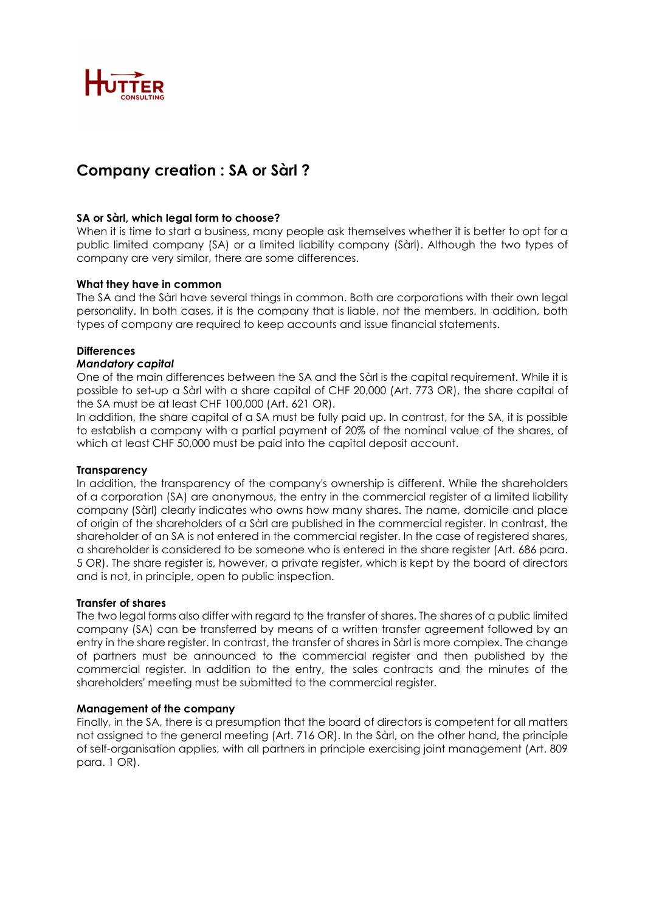

# Company creation : SA or Sàrl ?

## SA or Sàrl, which legal form to choose?

When it is time to start a business, many people ask themselves whether it is better to opt for a public limited company (SA) or a limited liability company (Sàrl). Although the two types of company are very similar, there are some differences.

## What they have in common

The SA and the Sàrl have several things in common. Both are corporations with their own legal personality. In both cases, it is the company that is liable, not the members. In addition, both types of company are required to keep accounts and issue financial statements.

## **Differences**

### Mandatory capital

One of the main differences between the SA and the Sàrl is the capital requirement. While it is possible to set-up a Sàrl with a share capital of CHF 20,000 (Art. 773 OR), the share capital of the SA must be at least CHF 100,000 (Art. 621 OR).

In addition, the share capital of a SA must be fully paid up. In contrast, for the SA, it is possible to establish a company with a partial payment of 20% of the nominal value of the shares, of which at least CHF 50,000 must be paid into the capital deposit account.

## **Transparency**

In addition, the transparency of the company's ownership is different. While the shareholders of a corporation (SA) are anonymous, the entry in the commercial register of a limited liability company (Sàrl) clearly indicates who owns how many shares. The name, domicile and place of origin of the shareholders of a Sàrl are published in the commercial register. In contrast, the shareholder of an SA is not entered in the commercial register. In the case of registered shares, a shareholder is considered to be someone who is entered in the share register (Art. 686 para. 5 OR). The share register is, however, a private register, which is kept by the board of directors and is not, in principle, open to public inspection.

#### Transfer of shares

The two legal forms also differ with regard to the transfer of shares. The shares of a public limited company (SA) can be transferred by means of a written transfer agreement followed by an entry in the share register. In contrast, the transfer of shares in Sàrl is more complex. The change of partners must be announced to the commercial register and then published by the commercial register. In addition to the entry, the sales contracts and the minutes of the shareholders' meeting must be submitted to the commercial register.

## Management of the company

Finally, in the SA, there is a presumption that the board of directors is competent for all matters not assigned to the general meeting (Art. 716 OR). In the Sàrl, on the other hand, the principle of self-organisation applies, with all partners in principle exercising joint management (Art. 809 para. 1 OR).